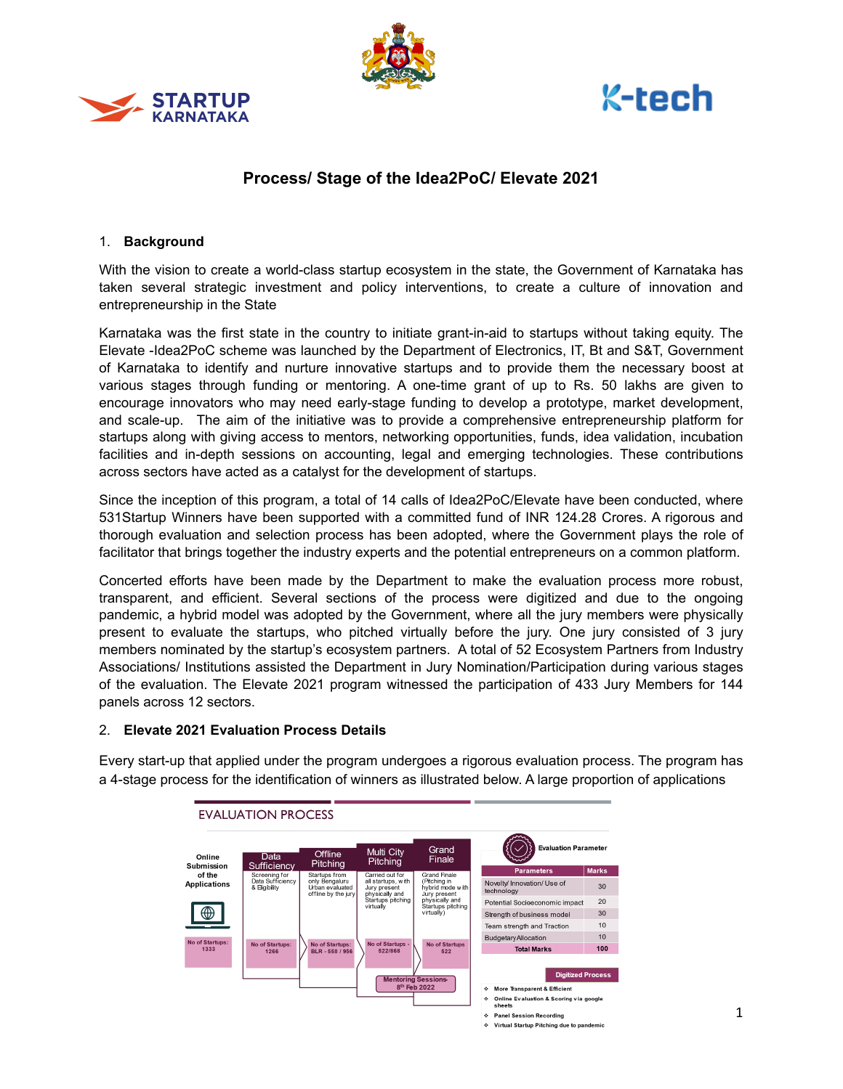





# **Process/ Stage of the Idea2PoC/ Elevate 2021**

### 1. **Background**

With the vision to create a world-class startup ecosystem in the state, the Government of Karnataka has taken several strategic investment and policy interventions, to create a culture of innovation and entrepreneurship in the State

Karnataka was the first state in the country to initiate grant-in-aid to startups without taking equity. The Elevate -Idea2PoC scheme was launched by the Department of Electronics, IT, Bt and S&T, Government of Karnataka to identify and nurture innovative startups and to provide them the necessary boost at various stages through funding or mentoring. A one-time grant of up to Rs. 50 lakhs are given to encourage innovators who may need early-stage funding to develop a prototype, market development, and scale-up. The aim of the initiative was to provide a comprehensive entrepreneurship platform for startups along with giving access to mentors, networking opportunities, funds, idea validation, incubation facilities and in-depth sessions on accounting, legal and emerging technologies. These contributions across sectors have acted as a catalyst for the development of startups.

Since the inception of this program, a total of 14 calls of Idea2PoC/Elevate have been conducted, where 531Startup Winners have been supported with a committed fund of INR 124.28 Crores. A rigorous and thorough evaluation and selection process has been adopted, where the Government plays the role of facilitator that brings together the industry experts and the potential entrepreneurs on a common platform.

Concerted efforts have been made by the Department to make the evaluation process more robust, transparent, and efficient. Several sections of the process were digitized and due to the ongoing pandemic, a hybrid model was adopted by the Government, where all the jury members were physically present to evaluate the startups, who pitched virtually before the jury. One jury consisted of 3 jury members nominated by the startup's ecosystem partners. A total of 52 Ecosystem Partners from Industry Associations/ Institutions assisted the Department in Jury Nomination/Participation during various stages of the evaluation. The Elevate 2021 program witnessed the participation of 433 Jury Members for 144 panels across 12 sectors.

## 2. **Elevate 2021 Evaluation Process Details**

Every start-up that applied under the program undergoes a rigorous evaluation process. The program has a 4-stage process for the identification of winners as illustrated below. A large proportion of applications

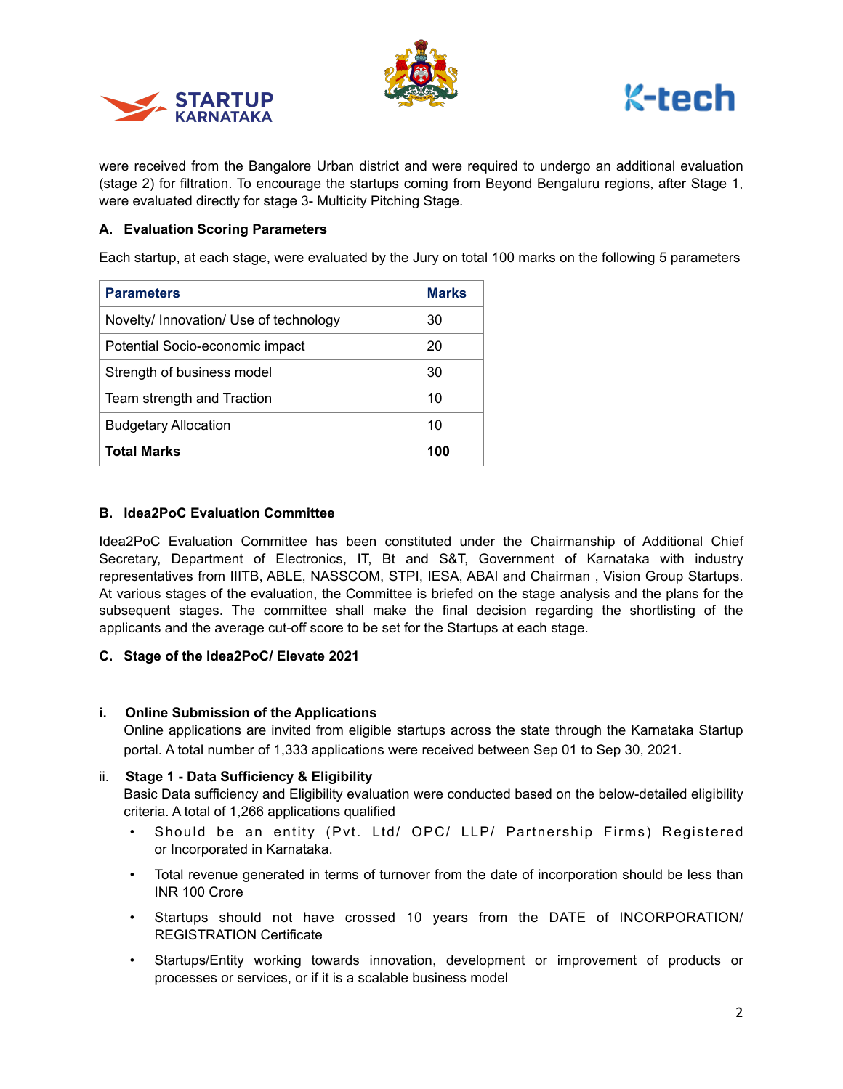





were received from the Bangalore Urban district and were required to undergo an additional evaluation (stage 2) for filtration. To encourage the startups coming from Beyond Bengaluru regions, after Stage 1, were evaluated directly for stage 3- Multicity Pitching Stage.

## **A. Evaluation Scoring Parameters**

Each startup, at each stage, were evaluated by the Jury on total 100 marks on the following 5 parameters

| <b>Parameters</b>                      | <b>Marks</b> |
|----------------------------------------|--------------|
| Novelty/ Innovation/ Use of technology | 30           |
| Potential Socio-economic impact        | 20           |
| Strength of business model             | 30           |
| Team strength and Traction             | 10           |
| <b>Budgetary Allocation</b>            | 10           |
| <b>Total Marks</b>                     | 100          |

## **B. Idea2PoC Evaluation Committee**

Idea2PoC Evaluation Committee has been constituted under the Chairmanship of Additional Chief Secretary, Department of Electronics, IT, Bt and S&T, Government of Karnataka with industry representatives from IIITB, ABLE, NASSCOM, STPI, IESA, ABAI and Chairman , Vision Group Startups. At various stages of the evaluation, the Committee is briefed on the stage analysis and the plans for the subsequent stages. The committee shall make the final decision regarding the shortlisting of the applicants and the average cut-off score to be set for the Startups at each stage.

## **C. Stage of the Idea2PoC/ Elevate 2021**

### **i. Online Submission of the Applications**

Online applications are invited from eligible startups across the state through the Karnataka Startup portal. A total number of 1,333 applications were received between Sep 01 to Sep 30, 2021.

## ii. **Stage 1 - Data Sufficiency & Eligibility**

Basic Data sufficiency and Eligibility evaluation were conducted based on the below-detailed eligibility criteria. A total of 1,266 applications qualified

- Should be an entity (Pvt. Ltd/ OPC/ LLP/ Partnership Firms) Registered or Incorporated in Karnataka.
- Total revenue generated in terms of turnover from the date of incorporation should be less than INR 100 Crore
- Startups should not have crossed 10 years from the DATE of INCORPORATION/ REGISTRATION Certificate
- Startups/Entity working towards innovation, development or improvement of products or processes or services, or if it is a scalable business model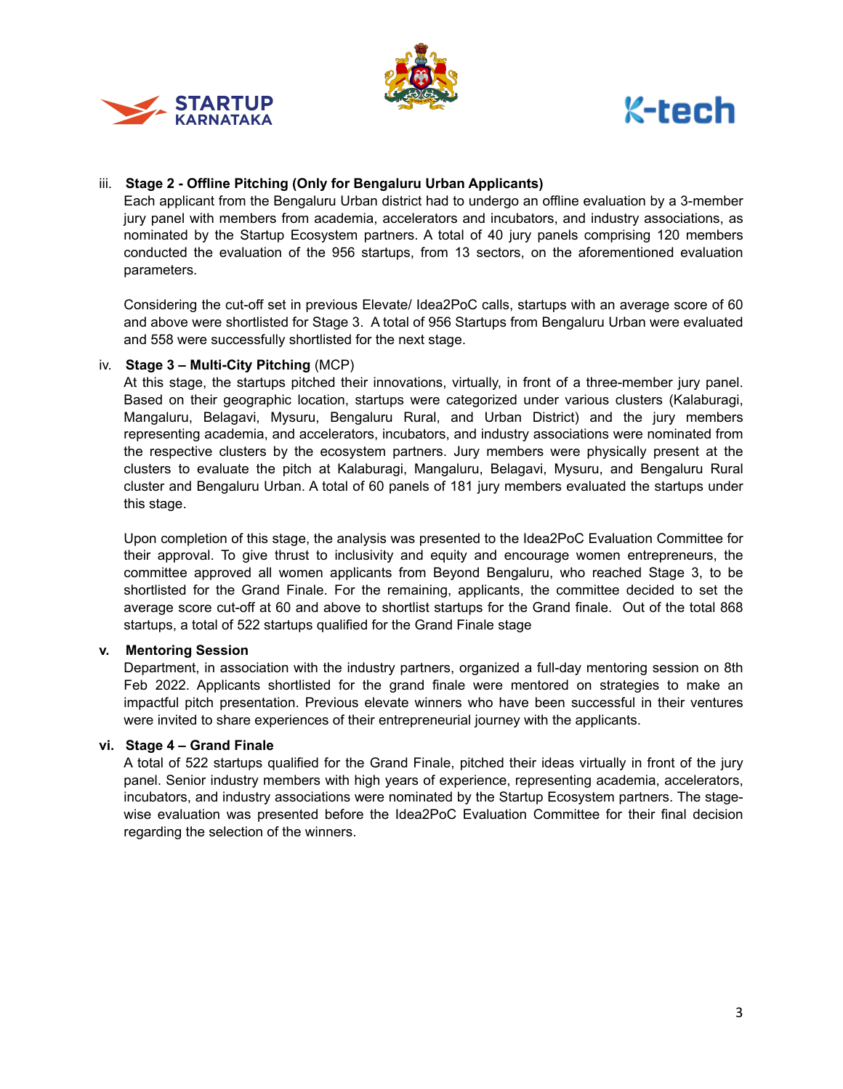





# iii. **Stage 2 - Offline Pitching (Only for Bengaluru Urban Applicants)**

Each applicant from the Bengaluru Urban district had to undergo an offline evaluation by a 3-member jury panel with members from academia, accelerators and incubators, and industry associations, as nominated by the Startup Ecosystem partners. A total of 40 jury panels comprising 120 members conducted the evaluation of the 956 startups, from 13 sectors, on the aforementioned evaluation parameters.

Considering the cut-off set in previous Elevate/ Idea2PoC calls, startups with an average score of 60 and above were shortlisted for Stage 3. A total of 956 Startups from Bengaluru Urban were evaluated and 558 were successfully shortlisted for the next stage.

### iv. **Stage 3 – Multi-City Pitching** (MCP)

At this stage, the startups pitched their innovations, virtually, in front of a three-member jury panel. Based on their geographic location, startups were categorized under various clusters (Kalaburagi, Mangaluru, Belagavi, Mysuru, Bengaluru Rural, and Urban District) and the jury members representing academia, and accelerators, incubators, and industry associations were nominated from the respective clusters by the ecosystem partners. Jury members were physically present at the clusters to evaluate the pitch at Kalaburagi, Mangaluru, Belagavi, Mysuru, and Bengaluru Rural cluster and Bengaluru Urban. A total of 60 panels of 181 jury members evaluated the startups under this stage.

Upon completion of this stage, the analysis was presented to the Idea2PoC Evaluation Committee for their approval. To give thrust to inclusivity and equity and encourage women entrepreneurs, the committee approved all women applicants from Beyond Bengaluru, who reached Stage 3, to be shortlisted for the Grand Finale. For the remaining, applicants, the committee decided to set the average score cut-off at 60 and above to shortlist startups for the Grand finale. Out of the total 868 startups, a total of 522 startups qualified for the Grand Finale stage

### **v. Mentoring Session**

Department, in association with the industry partners, organized a full-day mentoring session on 8th Feb 2022. Applicants shortlisted for the grand finale were mentored on strategies to make an impactful pitch presentation. Previous elevate winners who have been successful in their ventures were invited to share experiences of their entrepreneurial journey with the applicants.

### **vi. Stage 4 – Grand Finale**

A total of 522 startups qualified for the Grand Finale, pitched their ideas virtually in front of the jury panel. Senior industry members with high years of experience, representing academia, accelerators, incubators, and industry associations were nominated by the Startup Ecosystem partners. The stagewise evaluation was presented before the Idea2PoC Evaluation Committee for their final decision regarding the selection of the winners.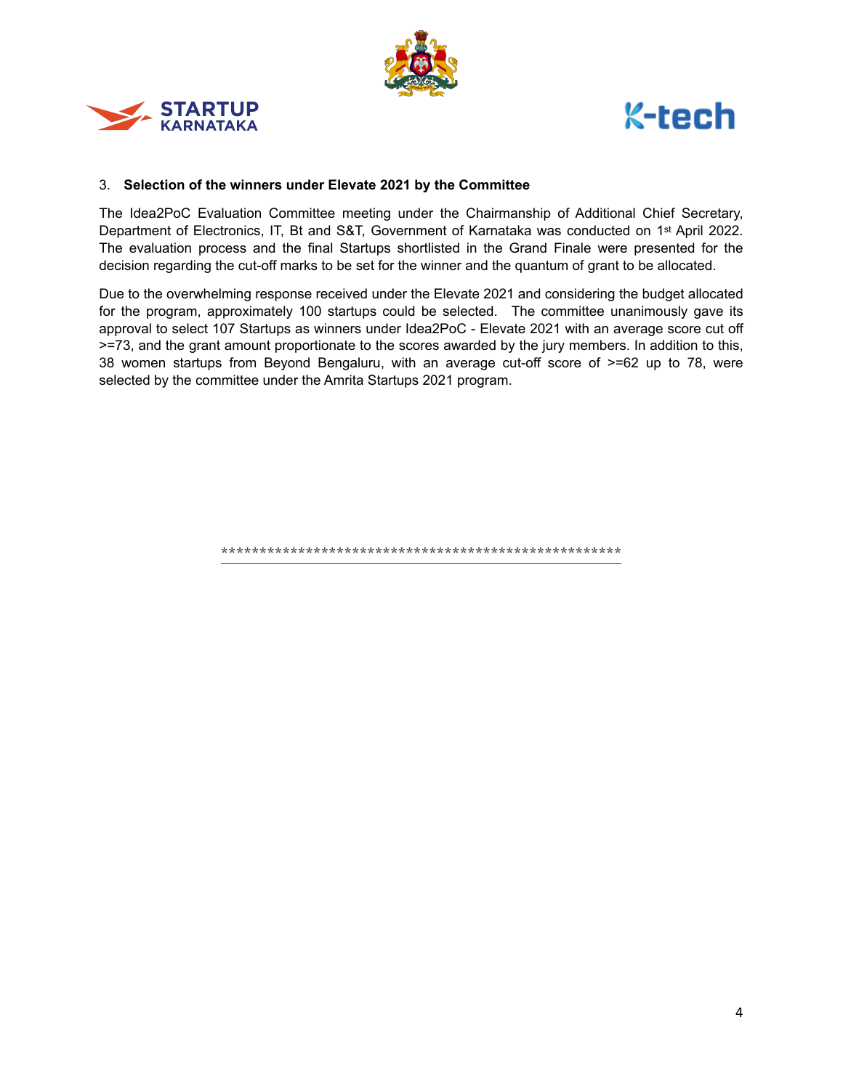





### 3. **Selection of the winners under Elevate 2021 by the Committee**

The Idea2PoC Evaluation Committee meeting under the Chairmanship of Additional Chief Secretary, Department of Electronics, IT, Bt and S&T, Government of Karnataka was conducted on 1st April 2022. The evaluation process and the final Startups shortlisted in the Grand Finale were presented for the decision regarding the cut-off marks to be set for the winner and the quantum of grant to be allocated.

Due to the overwhelming response received under the Elevate 2021 and considering the budget allocated for the program, approximately 100 startups could be selected. The committee unanimously gave its approval to select 107 Startups as winners under Idea2PoC - Elevate 2021 with an average score cut off >=73, and the grant amount proportionate to the scores awarded by the jury members. In addition to this, 38 women startups from Beyond Bengaluru, with an average cut-off score of >=62 up to 78, were selected by the committee under the Amrita Startups 2021 program.

**\*\*\*\*\*\*\*\*\*\*\*\*\*\*\*\*\*\*\*\*\*\*\*\*\*\*\*\*\*\*\*\*\*\*\*\*\*\*\*\*\*\*\*\*\*\*\*\*\*\*\*\***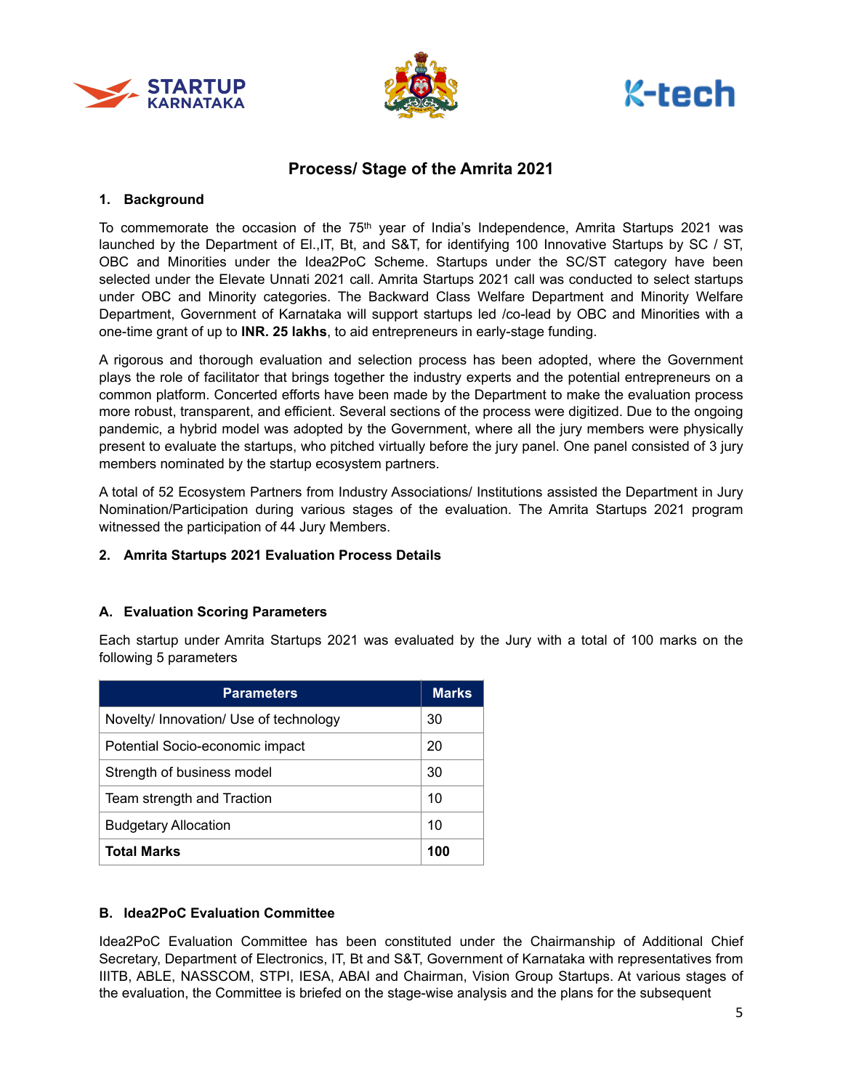





# **Process/ Stage of the Amrita 2021**

## **1. Background**

To commemorate the occasion of the 75<sup>th</sup> year of India's Independence, Amrita Startups 2021 was launched by the Department of El.,IT, Bt, and S&T, for identifying 100 Innovative Startups by SC / ST, OBC and Minorities under the Idea2PoC Scheme. Startups under the SC/ST category have been selected under the Elevate Unnati 2021 call. Amrita Startups 2021 call was conducted to select startups under OBC and Minority categories. The Backward Class Welfare Department and Minority Welfare Department, Government of Karnataka will support startups led /co-lead by OBC and Minorities with a one-time grant of up to **INR. 25 lakhs**, to aid entrepreneurs in early-stage funding.

A rigorous and thorough evaluation and selection process has been adopted, where the Government plays the role of facilitator that brings together the industry experts and the potential entrepreneurs on a common platform. Concerted efforts have been made by the Department to make the evaluation process more robust, transparent, and efficient. Several sections of the process were digitized. Due to the ongoing pandemic, a hybrid model was adopted by the Government, where all the jury members were physically present to evaluate the startups, who pitched virtually before the jury panel. One panel consisted of 3 jury members nominated by the startup ecosystem partners.

A total of 52 Ecosystem Partners from Industry Associations/ Institutions assisted the Department in Jury Nomination/Participation during various stages of the evaluation. The Amrita Startups 2021 program witnessed the participation of 44 Jury Members.

## **2. Amrita Startups 2021 Evaluation Process Details**

# **A. Evaluation Scoring Parameters**

Each startup under Amrita Startups 2021 was evaluated by the Jury with a total of 100 marks on the following 5 parameters

| <b>Parameters</b>                      | <b>Marks</b> |
|----------------------------------------|--------------|
| Novelty/ Innovation/ Use of technology | 30           |
| Potential Socio-economic impact        | 20           |
| Strength of business model             | 30           |
| Team strength and Traction             | 10           |
| <b>Budgetary Allocation</b>            | 10           |
| <b>Total Marks</b>                     | 100          |

## **B. Idea2PoC Evaluation Committee**

Idea2PoC Evaluation Committee has been constituted under the Chairmanship of Additional Chief Secretary, Department of Electronics, IT, Bt and S&T, Government of Karnataka with representatives from IIITB, ABLE, NASSCOM, STPI, IESA, ABAI and Chairman, Vision Group Startups. At various stages of the evaluation, the Committee is briefed on the stage-wise analysis and the plans for the subsequent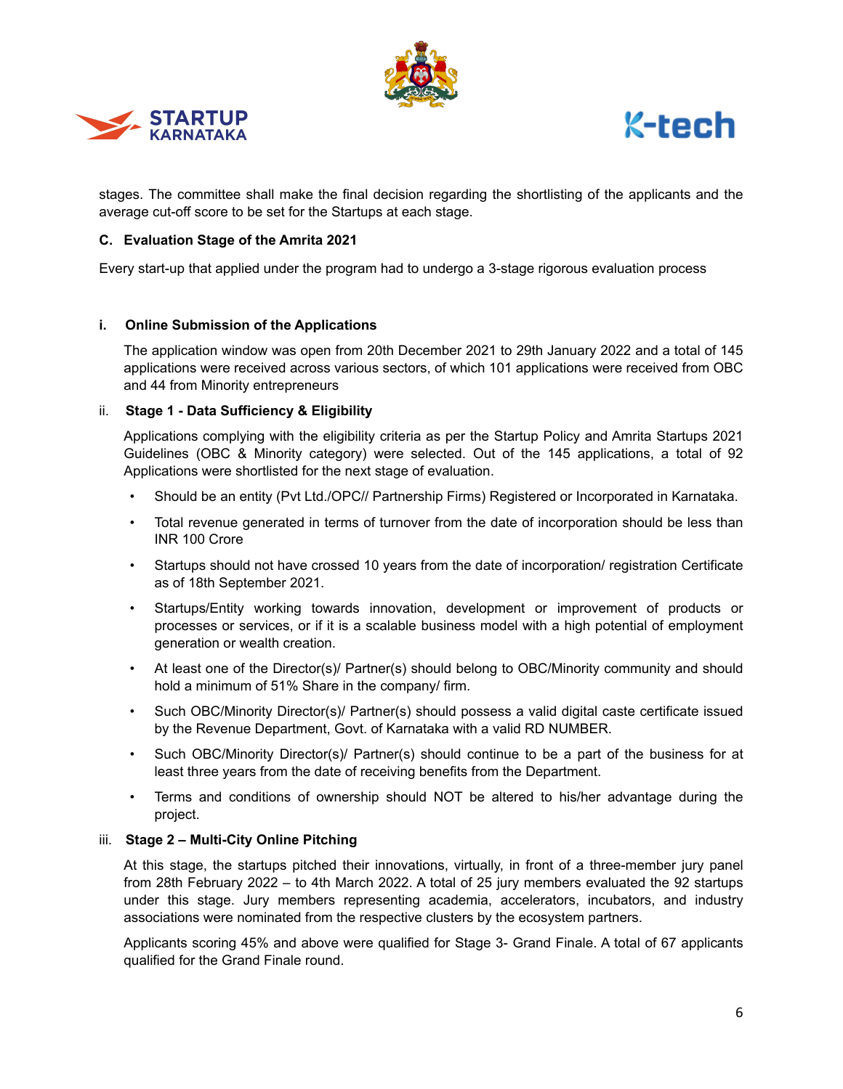





stages. The committee shall make the final decision regarding the shortlisting of the applicants and the average cut-off score to be set for the Startups at each stage.

### **C. Evaluation Stage of the Amrita 2021**

Every start-up that applied under the program had to undergo a 3-stage rigorous evaluation process

### **i. Online Submission of the Applications**

The application window was open from 20th December 2021 to 29th January 2022 and a total of 145 applications were received across various sectors, of which 101 applications were received from OBC and 44 from Minority entrepreneurs

### ii. **Stage 1 - Data Sufficiency & Eligibility**

Applications complying with the eligibility criteria as per the Startup Policy and Amrita Startups 2021 Guidelines (OBC & Minority category) were selected. Out of the 145 applications, a total of 92 Applications were shortlisted for the next stage of evaluation.

- Should be an entity (Pvt Ltd./OPC// Partnership Firms) Registered or Incorporated in Karnataka.
- Total revenue generated in terms of turnover from the date of incorporation should be less than INR 100 Crore
- Startups should not have crossed 10 years from the date of incorporation/ registration Certificate as of 18th September 2021.
- Startups/Entity working towards innovation, development or improvement of products or processes or services, or if it is a scalable business model with a high potential of employment generation or wealth creation.
- At least one of the Director(s)/ Partner(s) should belong to OBC/Minority community and should hold a minimum of 51% Share in the company/ firm.
- Such OBC/Minority Director(s)/ Partner(s) should possess a valid digital caste certificate issued by the Revenue Department, Govt. of Karnataka with a valid RD NUMBER.
- Such OBC/Minority Director(s)/ Partner(s) should continue to be a part of the business for at least three years from the date of receiving benefits from the Department.
- Terms and conditions of ownership should NOT be altered to his/her advantage during the project.

### iii. **Stage 2 – Multi-City Online Pitching**

At this stage, the startups pitched their innovations, virtually, in front of a three-member jury panel from 28th February 2022 – to 4th March 2022. A total of 25 jury members evaluated the 92 startups under this stage. Jury members representing academia, accelerators, incubators, and industry associations were nominated from the respective clusters by the ecosystem partners.

Applicants scoring 45% and above were qualified for Stage 3- Grand Finale. A total of 67 applicants qualified for the Grand Finale round.